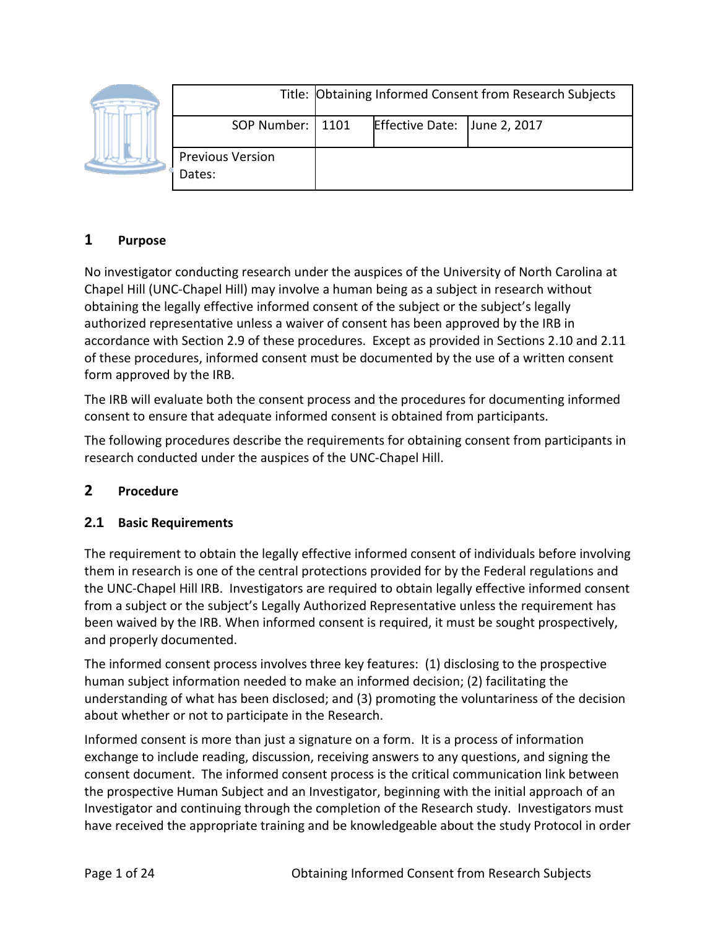|  |                                   | Title: Obtaining Informed Consent from Research Subjects |                              |  |
|--|-----------------------------------|----------------------------------------------------------|------------------------------|--|
|  | SOP Number:   1101                |                                                          | Effective Date: June 2, 2017 |  |
|  | <b>Previous Version</b><br>Dates: |                                                          |                              |  |

# **1 Purpose**

No investigator conducting research under the auspices of the University of North Carolina at Chapel Hill (UNC-Chapel Hill) may involve a human being as a subject in research without obtaining the legally effective informed consent of the subject or the subject's legally authorized representative unless a waiver of consent has been approved by the IRB in accordance with Section 2.9 of these procedures. Except as provided in Sections 2.10 and 2.11 of these procedures, informed consent must be documented by the use of a written consent form approved by the IRB.

The IRB will evaluate both the consent process and the procedures for documenting informed consent to ensure that adequate informed consent is obtained from participants.

The following procedures describe the requirements for obtaining consent from participants in research conducted under the auspices of the UNC-Chapel Hill.

## **2 Procedure**

#### **2.1 Basic Requirements**

The requirement to obtain the legally effective informed consent of individuals before involving them in research is one of the central protections provided for by the Federal regulations and the UNC-Chapel Hill IRB. Investigators are required to obtain legally effective informed consent from a subject or the subject's Legally Authorized Representative unless the requirement has been waived by the IRB. When informed consent is required, it must be sought prospectively, and properly documented.

The informed consent process involves three key features: (1) disclosing to the prospective human subject information needed to make an informed decision; (2) facilitating the understanding of what has been disclosed; and (3) promoting the voluntariness of the decision about whether or not to participate in the Research.

Informed consent is more than just a signature on a form. It is a process of information exchange to include reading, discussion, receiving answers to any questions, and signing the consent document. The informed consent process is the critical communication link between the prospective Human Subject and an Investigator, beginning with the initial approach of an Investigator and continuing through the completion of the Research study. Investigators must have received the appropriate training and be knowledgeable about the study Protocol in order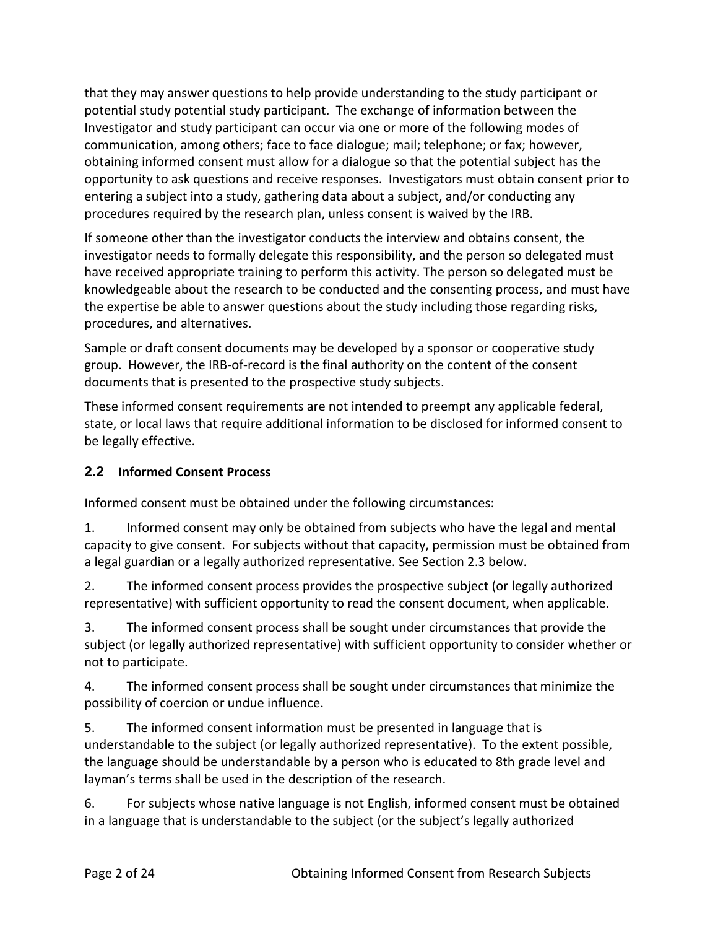that they may answer questions to help provide understanding to the study participant or potential study potential study participant. The exchange of information between the Investigator and study participant can occur via one or more of the following modes of communication, among others; face to face dialogue; mail; telephone; or fax; however, obtaining informed consent must allow for a dialogue so that the potential subject has the opportunity to ask questions and receive responses. Investigators must obtain consent prior to entering a subject into a study, gathering data about a subject, and/or conducting any procedures required by the research plan, unless consent is waived by the IRB.

If someone other than the investigator conducts the interview and obtains consent, the investigator needs to formally delegate this responsibility, and the person so delegated must have received appropriate training to perform this activity. The person so delegated must be knowledgeable about the research to be conducted and the consenting process, and must have the expertise be able to answer questions about the study including those regarding risks, procedures, and alternatives.

Sample or draft consent documents may be developed by a sponsor or cooperative study group. However, the IRB-of-record is the final authority on the content of the consent documents that is presented to the prospective study subjects.

These informed consent requirements are not intended to preempt any applicable federal, state, or local laws that require additional information to be disclosed for informed consent to be legally effective.

## **2.2 Informed Consent Process**

Informed consent must be obtained under the following circumstances:

1. Informed consent may only be obtained from subjects who have the legal and mental capacity to give consent. For subjects without that capacity, permission must be obtained from a legal guardian or a legally authorized representative. See Section 2.3 below.

2. The informed consent process provides the prospective subject (or legally authorized representative) with sufficient opportunity to read the consent document, when applicable.

3. The informed consent process shall be sought under circumstances that provide the subject (or legally authorized representative) with sufficient opportunity to consider whether or not to participate.

4. The informed consent process shall be sought under circumstances that minimize the possibility of coercion or undue influence.

5. The informed consent information must be presented in language that is understandable to the subject (or legally authorized representative). To the extent possible, the language should be understandable by a person who is educated to 8th grade level and layman's terms shall be used in the description of the research.

6. For subjects whose native language is not English, informed consent must be obtained in a language that is understandable to the subject (or the subject's legally authorized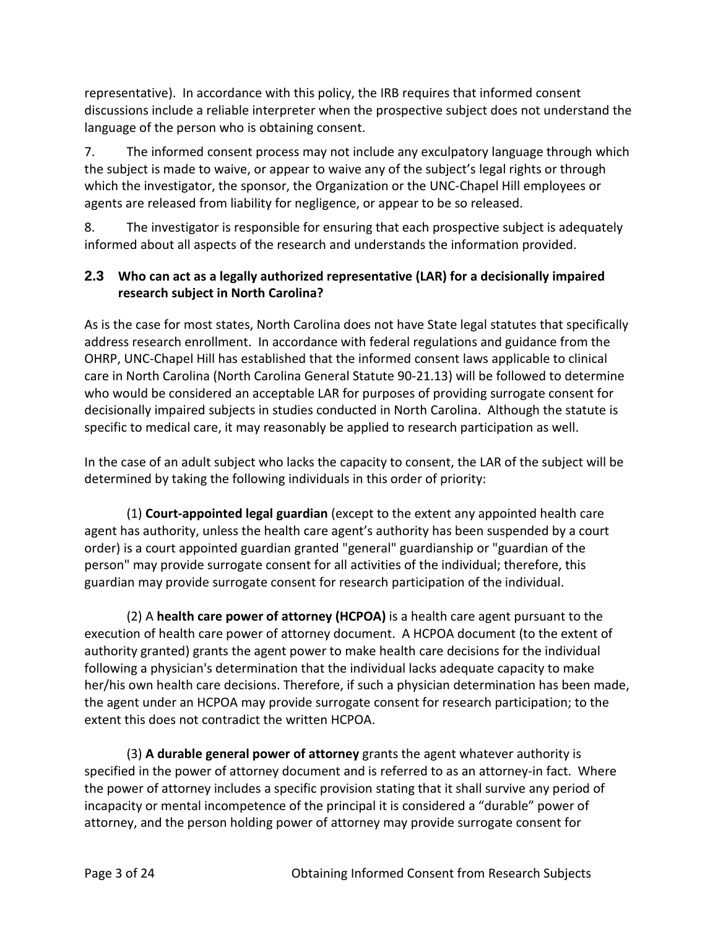representative). In accordance with this policy, the IRB requires that informed consent discussions include a reliable interpreter when the prospective subject does not understand the language of the person who is obtaining consent.

7. The informed consent process may not include any exculpatory language through which the subject is made to waive, or appear to waive any of the subject's legal rights or through which the investigator, the sponsor, the Organization or the UNC-Chapel Hill employees or agents are released from liability for negligence, or appear to be so released.

8. The investigator is responsible for ensuring that each prospective subject is adequately informed about all aspects of the research and understands the information provided.

## **2.3 Who can act as a legally authorized representative (LAR) for a decisionally impaired research subject in North Carolina?**

As is the case for most states, North Carolina does not have State legal statutes that specifically address research enrollment. In accordance with federal regulations and guidance from the OHRP, UNC-Chapel Hill has established that the informed consent laws applicable to clinical care in North Carolina (North Carolina General Statute 90-21.13) will be followed to determine who would be considered an acceptable LAR for purposes of providing surrogate consent for decisionally impaired subjects in studies conducted in North Carolina. Although the statute is specific to medical care, it may reasonably be applied to research participation as well.

In the case of an adult subject who lacks the capacity to consent, the LAR of the subject will be determined by taking the following individuals in this order of priority:

(1) **Court-appointed legal guardian** (except to the extent any appointed health care agent has authority, unless the health care agent's authority has been suspended by a court order) is a court appointed guardian granted "general" guardianship or "guardian of the person" may provide surrogate consent for all activities of the individual; therefore, this guardian may provide surrogate consent for research participation of the individual.

(2) A **health care power of attorney (HCPOA)** is a health care agent pursuant to the execution of health care power of attorney document. A HCPOA document (to the extent of authority granted) grants the agent power to make health care decisions for the individual following a physician's determination that the individual lacks adequate capacity to make her/his own health care decisions. Therefore, if such a physician determination has been made, the agent under an HCPOA may provide surrogate consent for research participation; to the extent this does not contradict the written HCPOA.

(3) **A durable general power of attorney** grants the agent whatever authority is specified in the power of attorney document and is referred to as an attorney-in fact. Where the power of attorney includes a specific provision stating that it shall survive any period of incapacity or mental incompetence of the principal it is considered a "durable" power of attorney, and the person holding power of attorney may provide surrogate consent for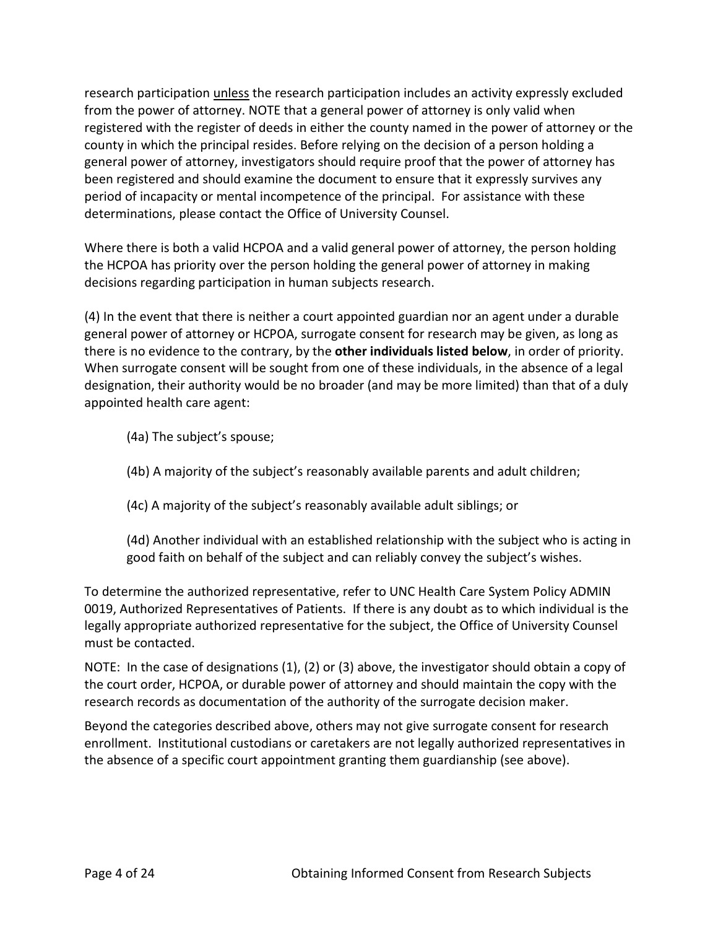research participation unless the research participation includes an activity expressly excluded from the power of attorney. NOTE that a general power of attorney is only valid when registered with the register of deeds in either the county named in the power of attorney or the county in which the principal resides. Before relying on the decision of a person holding a general power of attorney, investigators should require proof that the power of attorney has been registered and should examine the document to ensure that it expressly survives any period of incapacity or mental incompetence of the principal. For assistance with these determinations, please contact the Office of University Counsel.

Where there is both a valid HCPOA and a valid general power of attorney, the person holding the HCPOA has priority over the person holding the general power of attorney in making decisions regarding participation in human subjects research.

(4) In the event that there is neither a court appointed guardian nor an agent under a durable general power of attorney or HCPOA, surrogate consent for research may be given, as long as there is no evidence to the contrary, by the **other individuals listed below**, in order of priority. When surrogate consent will be sought from one of these individuals, in the absence of a legal designation, their authority would be no broader (and may be more limited) than that of a duly appointed health care agent:

- (4a) The subject's spouse;
- (4b) A majority of the subject's reasonably available parents and adult children;
- (4c) A majority of the subject's reasonably available adult siblings; or
- (4d) Another individual with an established relationship with the subject who is acting in good faith on behalf of the subject and can reliably convey the subject's wishes.

To determine the authorized representative, refer to UNC Health Care System Policy ADMIN 0019, Authorized Representatives of Patients. If there is any doubt as to which individual is the legally appropriate authorized representative for the subject, the Office of University Counsel must be contacted.

NOTE: In the case of designations (1), (2) or (3) above, the investigator should obtain a copy of the court order, HCPOA, or durable power of attorney and should maintain the copy with the research records as documentation of the authority of the surrogate decision maker.

Beyond the categories described above, others may not give surrogate consent for research enrollment. Institutional custodians or caretakers are not legally authorized representatives in the absence of a specific court appointment granting them guardianship (see above).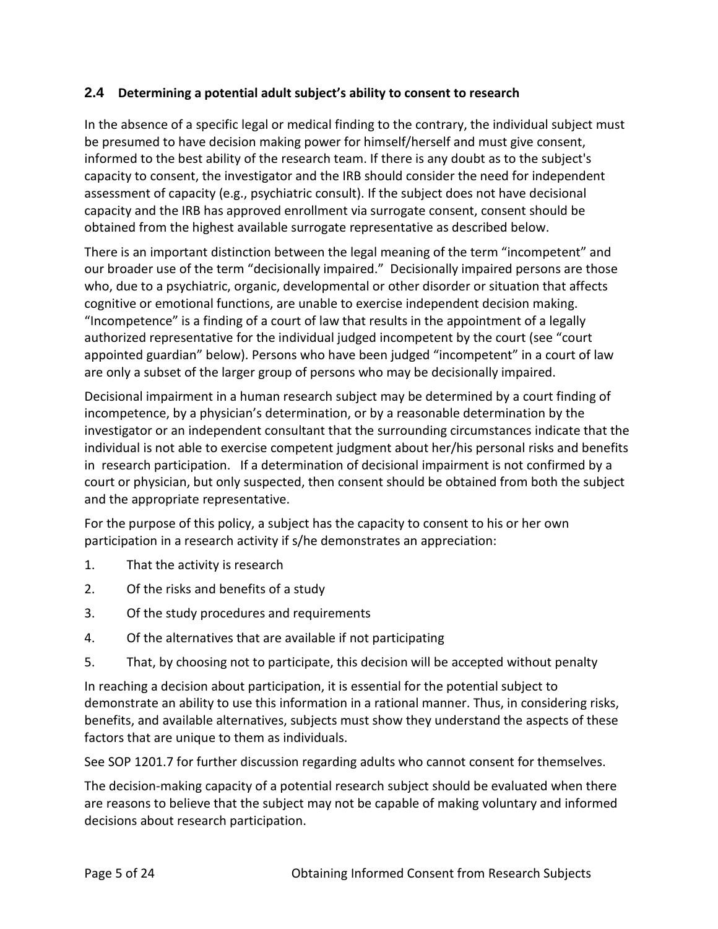### **2.4 Determining a potential adult subject's ability to consent to research**

In the absence of a specific legal or medical finding to the contrary, the individual subject must be presumed to have decision making power for himself/herself and must give consent, informed to the best ability of the research team. If there is any doubt as to the subject's capacity to consent, the investigator and the IRB should consider the need for independent assessment of capacity (e.g., psychiatric consult). If the subject does not have decisional capacity and the IRB has approved enrollment via surrogate consent, consent should be obtained from the highest available surrogate representative as described below.

There is an important distinction between the legal meaning of the term "incompetent" and our broader use of the term "decisionally impaired." Decisionally impaired persons are those who, due to a psychiatric, organic, developmental or other disorder or situation that affects cognitive or emotional functions, are unable to exercise independent decision making. "Incompetence" is a finding of a court of law that results in the appointment of a legally authorized representative for the individual judged incompetent by the court (see "court appointed guardian" below). Persons who have been judged "incompetent" in a court of law are only a subset of the larger group of persons who may be decisionally impaired.

Decisional impairment in a human research subject may be determined by a court finding of incompetence, by a physician's determination, or by a reasonable determination by the investigator or an independent consultant that the surrounding circumstances indicate that the individual is not able to exercise competent judgment about her/his personal risks and benefits in research participation. If a determination of decisional impairment is not confirmed by a court or physician, but only suspected, then consent should be obtained from both the subject and the appropriate representative.

For the purpose of this policy, a subject has the capacity to consent to his or her own participation in a research activity if s/he demonstrates an appreciation:

- 1. That the activity is research
- 2. Of the risks and benefits of a study
- 3. Of the study procedures and requirements
- 4. Of the alternatives that are available if not participating
- 5. That, by choosing not to participate, this decision will be accepted without penalty

In reaching a decision about participation, it is essential for the potential subject to demonstrate an ability to use this information in a rational manner. Thus, in considering risks, benefits, and available alternatives, subjects must show they understand the aspects of these factors that are unique to them as individuals.

See SOP 1201.7 for further discussion regarding adults who cannot consent for themselves.

The decision-making capacity of a potential research subject should be evaluated when there are reasons to believe that the subject may not be capable of making voluntary and informed decisions about research participation.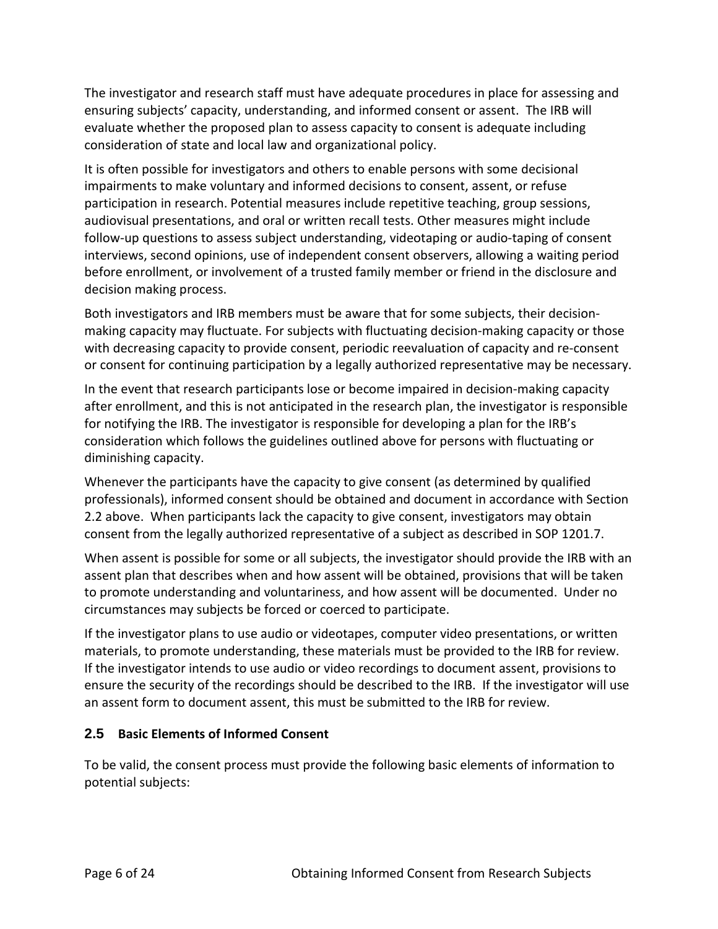The investigator and research staff must have adequate procedures in place for assessing and ensuring subjects' capacity, understanding, and informed consent or assent. The IRB will evaluate whether the proposed plan to assess capacity to consent is adequate including consideration of state and local law and organizational policy.

It is often possible for investigators and others to enable persons with some decisional impairments to make voluntary and informed decisions to consent, assent, or refuse participation in research. Potential measures include repetitive teaching, group sessions, audiovisual presentations, and oral or written recall tests. Other measures might include follow-up questions to assess subject understanding, videotaping or audio-taping of consent interviews, second opinions, use of independent consent observers, allowing a waiting period before enrollment, or involvement of a trusted family member or friend in the disclosure and decision making process.

Both investigators and IRB members must be aware that for some subjects, their decisionmaking capacity may fluctuate. For subjects with fluctuating decision-making capacity or those with decreasing capacity to provide consent, periodic reevaluation of capacity and re-consent or consent for continuing participation by a legally authorized representative may be necessary.

In the event that research participants lose or become impaired in decision-making capacity after enrollment, and this is not anticipated in the research plan, the investigator is responsible for notifying the IRB. The investigator is responsible for developing a plan for the IRB's consideration which follows the guidelines outlined above for persons with fluctuating or diminishing capacity.

Whenever the participants have the capacity to give consent (as determined by qualified professionals), informed consent should be obtained and document in accordance with Section 2.2 above. When participants lack the capacity to give consent, investigators may obtain consent from the legally authorized representative of a subject as described in SOP 1201.7.

When assent is possible for some or all subjects, the investigator should provide the IRB with an assent plan that describes when and how assent will be obtained, provisions that will be taken to promote understanding and voluntariness, and how assent will be documented. Under no circumstances may subjects be forced or coerced to participate.

If the investigator plans to use audio or videotapes, computer video presentations, or written materials, to promote understanding, these materials must be provided to the IRB for review. If the investigator intends to use audio or video recordings to document assent, provisions to ensure the security of the recordings should be described to the IRB. If the investigator will use an assent form to document assent, this must be submitted to the IRB for review.

## **2.5 Basic Elements of Informed Consent**

To be valid, the consent process must provide the following basic elements of information to potential subjects: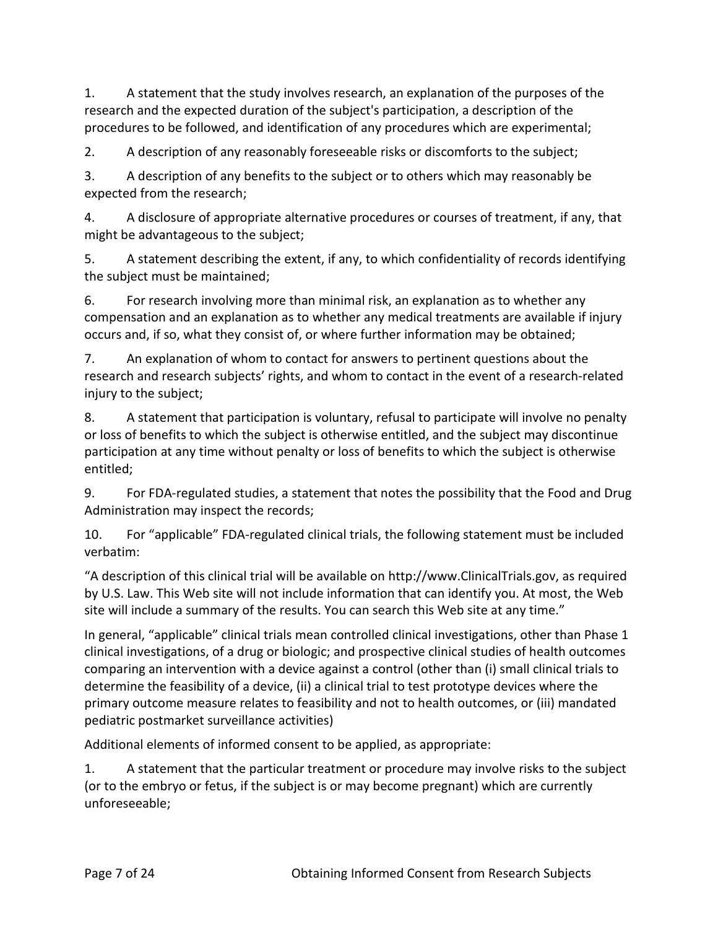1. A statement that the study involves research, an explanation of the purposes of the research and the expected duration of the subject's participation, a description of the procedures to be followed, and identification of any procedures which are experimental;

2. A description of any reasonably foreseeable risks or discomforts to the subject;

3. A description of any benefits to the subject or to others which may reasonably be expected from the research;

4. A disclosure of appropriate alternative procedures or courses of treatment, if any, that might be advantageous to the subject;

5. A statement describing the extent, if any, to which confidentiality of records identifying the subject must be maintained;

6. For research involving more than minimal risk, an explanation as to whether any compensation and an explanation as to whether any medical treatments are available if injury occurs and, if so, what they consist of, or where further information may be obtained;

7. An explanation of whom to contact for answers to pertinent questions about the research and research subjects' rights, and whom to contact in the event of a research-related injury to the subject;

8. A statement that participation is voluntary, refusal to participate will involve no penalty or loss of benefits to which the subject is otherwise entitled, and the subject may discontinue participation at any time without penalty or loss of benefits to which the subject is otherwise entitled;

9. For FDA-regulated studies, a statement that notes the possibility that the Food and Drug Administration may inspect the records;

10. For "applicable" FDA-regulated clinical trials, the following statement must be included verbatim:

"A description of this clinical trial will be available on http://www.ClinicalTrials.gov, as required by U.S. Law. This Web site will not include information that can identify you. At most, the Web site will include a summary of the results. You can search this Web site at any time."

In general, "applicable" clinical trials mean controlled clinical investigations, other than Phase 1 clinical investigations, of a drug or biologic; and prospective clinical studies of health outcomes comparing an intervention with a device against a control (other than (i) small clinical trials to determine the feasibility of a device, (ii) a clinical trial to test prototype devices where the primary outcome measure relates to feasibility and not to health outcomes, or (iii) mandated pediatric postmarket surveillance activities)

Additional elements of informed consent to be applied, as appropriate:

1. A statement that the particular treatment or procedure may involve risks to the subject (or to the embryo or fetus, if the subject is or may become pregnant) which are currently unforeseeable;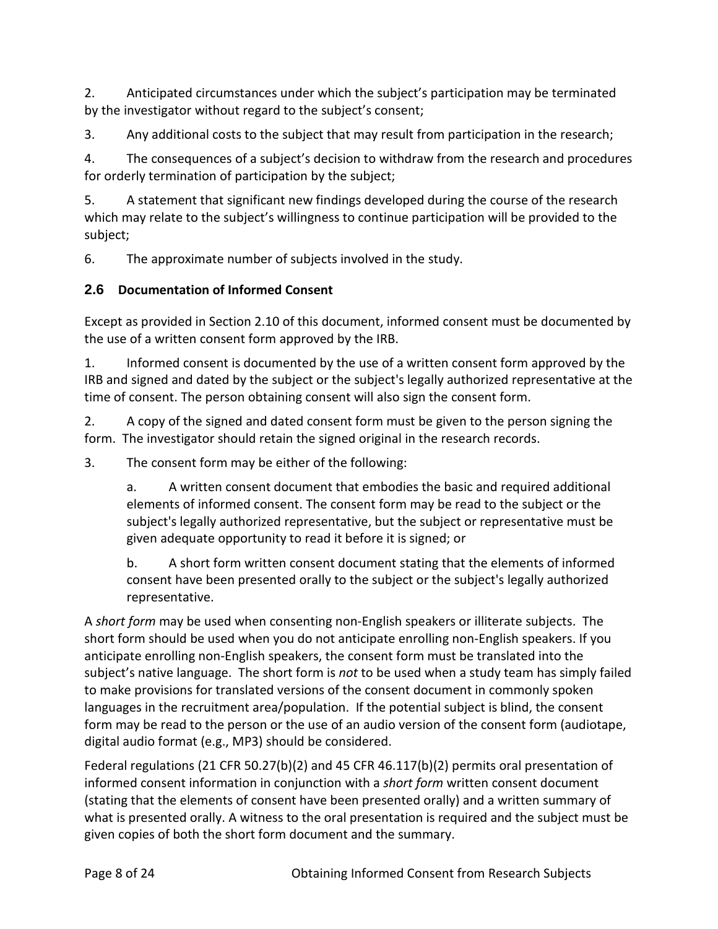2. Anticipated circumstances under which the subject's participation may be terminated by the investigator without regard to the subject's consent;

3. Any additional costs to the subject that may result from participation in the research;

4. The consequences of a subject's decision to withdraw from the research and procedures for orderly termination of participation by the subject;

5. A statement that significant new findings developed during the course of the research which may relate to the subject's willingness to continue participation will be provided to the subject;

6. The approximate number of subjects involved in the study.

## **2.6 Documentation of Informed Consent**

Except as provided in Section 2.10 of this document, informed consent must be documented by the use of a written consent form approved by the IRB.

1. Informed consent is documented by the use of a written consent form approved by the IRB and signed and dated by the subject or the subject's legally authorized representative at the time of consent. The person obtaining consent will also sign the consent form.

2. A copy of the signed and dated consent form must be given to the person signing the form. The investigator should retain the signed original in the research records.

3. The consent form may be either of the following:

a. A written consent document that embodies the basic and required additional elements of informed consent. The consent form may be read to the subject or the subject's legally authorized representative, but the subject or representative must be given adequate opportunity to read it before it is signed; or

b. A short form written consent document stating that the elements of informed consent have been presented orally to the subject or the subject's legally authorized representative.

A *short form* may be used when consenting non-English speakers or illiterate subjects. The short form should be used when you do not anticipate enrolling non-English speakers. If you anticipate enrolling non-English speakers, the consent form must be translated into the subject's native language. The short form is *not* to be used when a study team has simply failed to make provisions for translated versions of the consent document in commonly spoken languages in the recruitment area/population. If the potential subject is blind, the consent form may be read to the person or the use of an audio version of the consent form (audiotape, digital audio format (e.g., MP3) should be considered.

Federal regulations (21 CFR 50.27(b)(2) and 45 CFR 46.117(b)(2) permits oral presentation of informed consent information in conjunction with a *short form* written consent document (stating that the elements of consent have been presented orally) and a written summary of what is presented orally. A witness to the oral presentation is required and the subject must be given copies of both the short form document and the summary.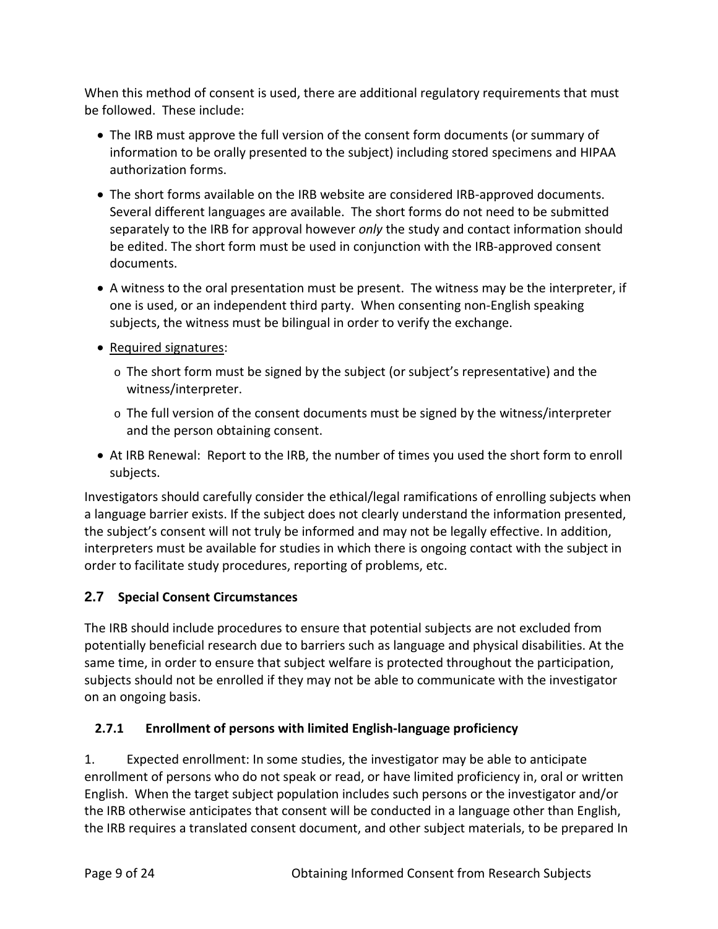When this method of consent is used, there are additional regulatory requirements that must be followed. These include:

- The IRB must approve the full version of the consent form documents (or summary of information to be orally presented to the subject) including stored specimens and HIPAA authorization forms.
- The short forms available on the IRB website are considered IRB-approved documents. Several different languages are available. The short forms do not need to be submitted separately to the IRB for approval however *only* the study and contact information should be edited. The short form must be used in conjunction with the IRB-approved consent documents.
- A witness to the oral presentation must be present. The witness may be the interpreter, if one is used, or an independent third party. When consenting non-English speaking subjects, the witness must be bilingual in order to verify the exchange.
- Required signatures:
	- $\circ$  The short form must be signed by the subject (or subject's representative) and the witness/interpreter.
	- $\circ$  The full version of the consent documents must be signed by the witness/interpreter and the person obtaining consent.
- At IRB Renewal: Report to the IRB, the number of times you used the short form to enroll subjects.

Investigators should carefully consider the ethical/legal ramifications of enrolling subjects when a language barrier exists. If the subject does not clearly understand the information presented, the subject's consent will not truly be informed and may not be legally effective. In addition, interpreters must be available for studies in which there is ongoing contact with the subject in order to facilitate study procedures, reporting of problems, etc.

# **2.7 Special Consent Circumstances**

The IRB should include procedures to ensure that potential subjects are not excluded from potentially beneficial research due to barriers such as language and physical disabilities. At the same time, in order to ensure that subject welfare is protected throughout the participation, subjects should not be enrolled if they may not be able to communicate with the investigator on an ongoing basis.

# **2.7.1 Enrollment of persons with limited English-language proficiency**

1. Expected enrollment: In some studies, the investigator may be able to anticipate enrollment of persons who do not speak or read, or have limited proficiency in, oral or written English. When the target subject population includes such persons or the investigator and/or the IRB otherwise anticipates that consent will be conducted in a language other than English, the IRB requires a translated consent document, and other subject materials, to be prepared In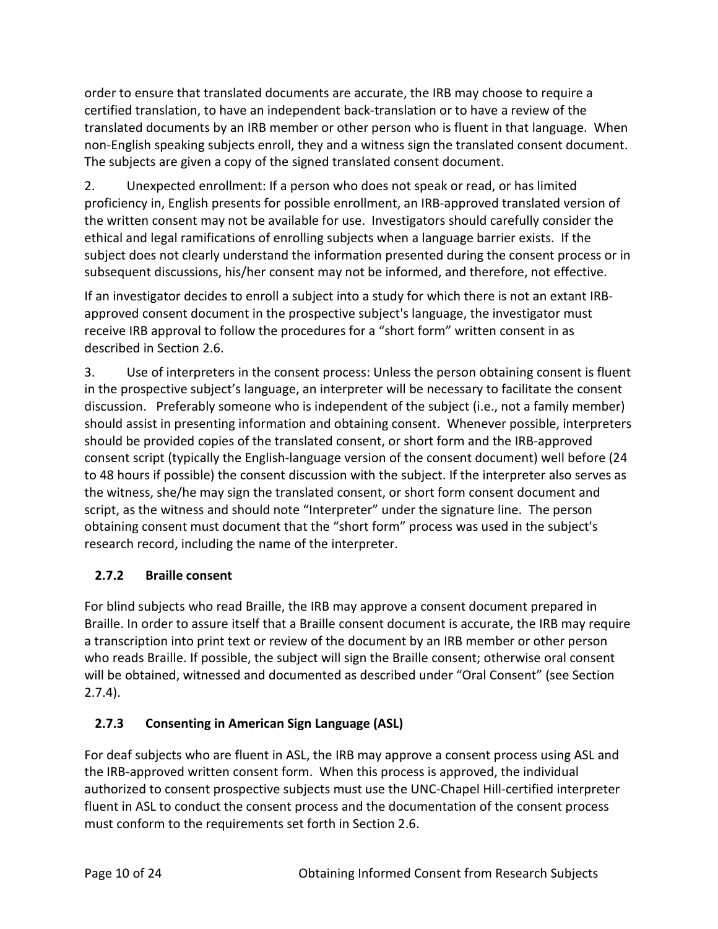order to ensure that translated documents are accurate, the IRB may choose to require a certified translation, to have an independent back-translation or to have a review of the translated documents by an IRB member or other person who is fluent in that language. When non-English speaking subjects enroll, they and a witness sign the translated consent document. The subjects are given a copy of the signed translated consent document.

2. Unexpected enrollment: If a person who does not speak or read, or has limited proficiency in, English presents for possible enrollment, an IRB-approved translated version of the written consent may not be available for use. Investigators should carefully consider the ethical and legal ramifications of enrolling subjects when a language barrier exists. If the subject does not clearly understand the information presented during the consent process or in subsequent discussions, his/her consent may not be informed, and therefore, not effective.

If an investigator decides to enroll a subject into a study for which there is not an extant IRBapproved consent document in the prospective subject's language, the investigator must receive IRB approval to follow the procedures for a "short form" written consent in as described in Section 2.6.

3. Use of interpreters in the consent process: Unless the person obtaining consent is fluent in the prospective subject's language, an interpreter will be necessary to facilitate the consent discussion. Preferably someone who is independent of the subject (i.e., not a family member) should assist in presenting information and obtaining consent. Whenever possible, interpreters should be provided copies of the translated consent, or short form and the IRB-approved consent script (typically the English-language version of the consent document) well before (24 to 48 hours if possible) the consent discussion with the subject. If the interpreter also serves as the witness, she/he may sign the translated consent, or short form consent document and script, as the witness and should note "Interpreter" under the signature line. The person obtaining consent must document that the "short form" process was used in the subject's research record, including the name of the interpreter.

## **2.7.2 Braille consent**

For blind subjects who read Braille, the IRB may approve a consent document prepared in Braille. In order to assure itself that a Braille consent document is accurate, the IRB may require a transcription into print text or review of the document by an IRB member or other person who reads Braille. If possible, the subject will sign the Braille consent; otherwise oral consent will be obtained, witnessed and documented as described under "Oral Consent" (see Section 2.7.4).

## **2.7.3 Consenting in American Sign Language (ASL)**

For deaf subjects who are fluent in ASL, the IRB may approve a consent process using ASL and the IRB-approved written consent form. When this process is approved, the individual authorized to consent prospective subjects must use the UNC-Chapel Hill-certified interpreter fluent in ASL to conduct the consent process and the documentation of the consent process must conform to the requirements set forth in Section 2.6.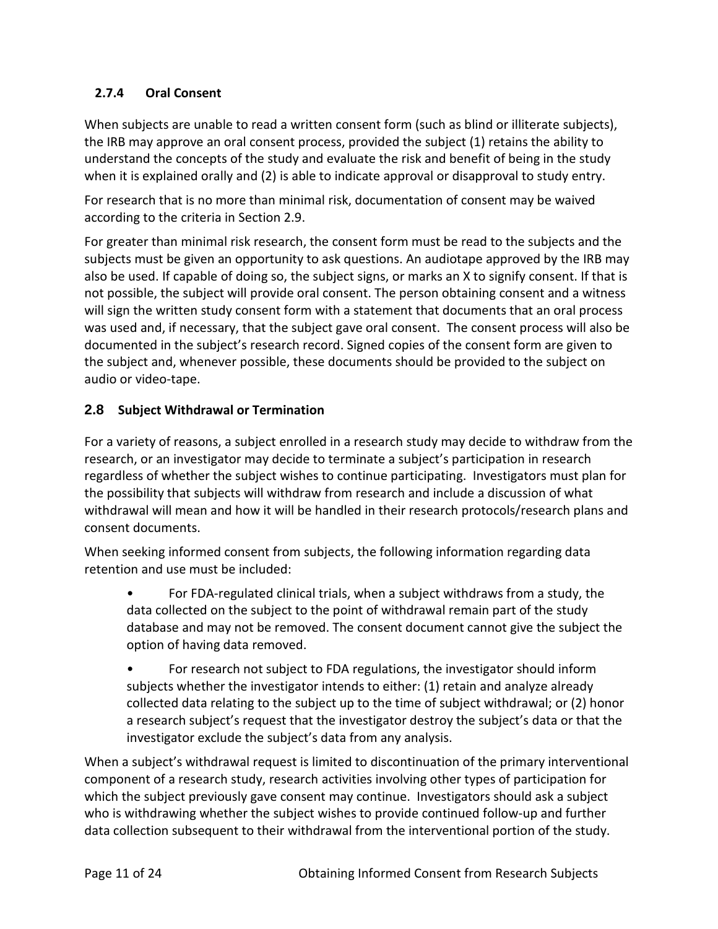## **2.7.4 Oral Consent**

When subjects are unable to read a written consent form (such as blind or illiterate subjects), the IRB may approve an oral consent process, provided the subject (1) retains the ability to understand the concepts of the study and evaluate the risk and benefit of being in the study when it is explained orally and (2) is able to indicate approval or disapproval to study entry.

For research that is no more than minimal risk, documentation of consent may be waived according to the criteria in Section 2.9.

For greater than minimal risk research, the consent form must be read to the subjects and the subjects must be given an opportunity to ask questions. An audiotape approved by the IRB may also be used. If capable of doing so, the subject signs, or marks an X to signify consent. If that is not possible, the subject will provide oral consent. The person obtaining consent and a witness will sign the written study consent form with a statement that documents that an oral process was used and, if necessary, that the subject gave oral consent. The consent process will also be documented in the subject's research record. Signed copies of the consent form are given to the subject and, whenever possible, these documents should be provided to the subject on audio or video-tape.

## **2.8 Subject Withdrawal or Termination**

For a variety of reasons, a subject enrolled in a research study may decide to withdraw from the research, or an investigator may decide to terminate a subject's participation in research regardless of whether the subject wishes to continue participating. Investigators must plan for the possibility that subjects will withdraw from research and include a discussion of what withdrawal will mean and how it will be handled in their research protocols/research plans and consent documents.

When seeking informed consent from subjects, the following information regarding data retention and use must be included:

• For FDA-regulated clinical trials, when a subject withdraws from a study, the data collected on the subject to the point of withdrawal remain part of the study database and may not be removed. The consent document cannot give the subject the option of having data removed.

• For research not subject to FDA regulations, the investigator should inform subjects whether the investigator intends to either: (1) retain and analyze already collected data relating to the subject up to the time of subject withdrawal; or (2) honor a research subject's request that the investigator destroy the subject's data or that the investigator exclude the subject's data from any analysis.

When a subject's withdrawal request is limited to discontinuation of the primary interventional component of a research study, research activities involving other types of participation for which the subject previously gave consent may continue. Investigators should ask a subject who is withdrawing whether the subject wishes to provide continued follow-up and further data collection subsequent to their withdrawal from the interventional portion of the study.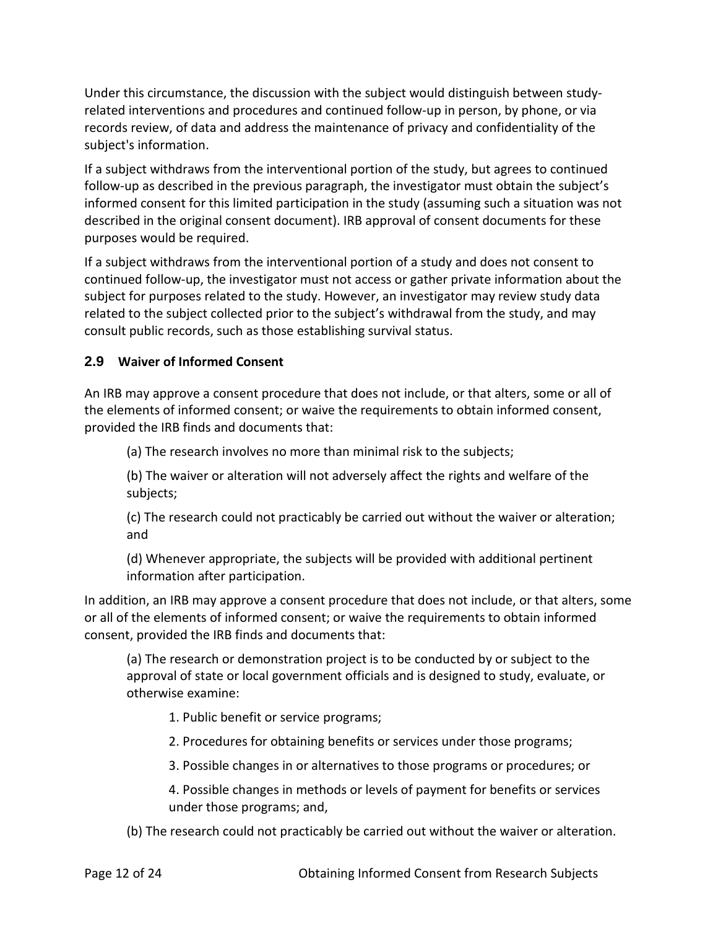Under this circumstance, the discussion with the subject would distinguish between studyrelated interventions and procedures and continued follow-up in person, by phone, or via records review, of data and address the maintenance of privacy and confidentiality of the subject's information.

If a subject withdraws from the interventional portion of the study, but agrees to continued follow-up as described in the previous paragraph, the investigator must obtain the subject's informed consent for this limited participation in the study (assuming such a situation was not described in the original consent document). IRB approval of consent documents for these purposes would be required.

If a subject withdraws from the interventional portion of a study and does not consent to continued follow-up, the investigator must not access or gather private information about the subject for purposes related to the study. However, an investigator may review study data related to the subject collected prior to the subject's withdrawal from the study, and may consult public records, such as those establishing survival status.

### **2.9 Waiver of Informed Consent**

An IRB may approve a consent procedure that does not include, or that alters, some or all of the elements of informed consent; or waive the requirements to obtain informed consent, provided the IRB finds and documents that:

(a) The research involves no more than minimal risk to the subjects;

(b) The waiver or alteration will not adversely affect the rights and welfare of the subjects;

(c) The research could not practicably be carried out without the waiver or alteration; and

(d) Whenever appropriate, the subjects will be provided with additional pertinent information after participation.

In addition, an IRB may approve a consent procedure that does not include, or that alters, some or all of the elements of informed consent; or waive the requirements to obtain informed consent, provided the IRB finds and documents that:

(a) The research or demonstration project is to be conducted by or subject to the approval of state or local government officials and is designed to study, evaluate, or otherwise examine:

1. Public benefit or service programs;

- 2. Procedures for obtaining benefits or services under those programs;
- 3. Possible changes in or alternatives to those programs or procedures; or

4. Possible changes in methods or levels of payment for benefits or services under those programs; and,

(b) The research could not practicably be carried out without the waiver or alteration.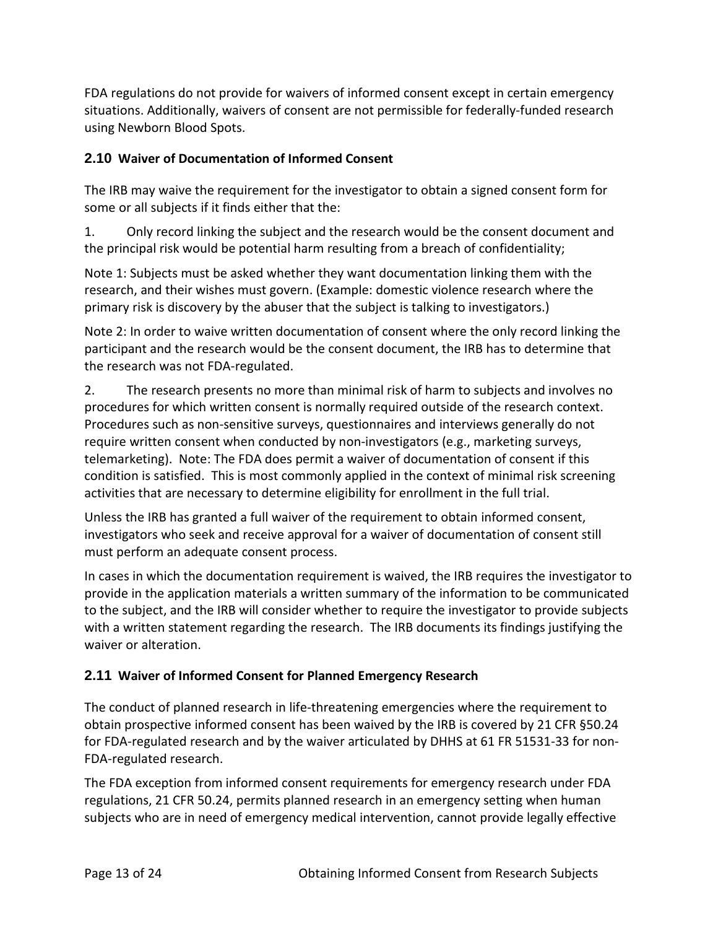FDA regulations do not provide for waivers of informed consent except in certain emergency situations. Additionally, waivers of consent are not permissible for federally-funded research using Newborn Blood Spots.

### **2.10 Waiver of Documentation of Informed Consent**

The IRB may waive the requirement for the investigator to obtain a signed consent form for some or all subjects if it finds either that the:

1. Only record linking the subject and the research would be the consent document and the principal risk would be potential harm resulting from a breach of confidentiality;

Note 1: Subjects must be asked whether they want documentation linking them with the research, and their wishes must govern. (Example: domestic violence research where the primary risk is discovery by the abuser that the subject is talking to investigators.)

Note 2: In order to waive written documentation of consent where the only record linking the participant and the research would be the consent document, the IRB has to determine that the research was not FDA-regulated.

2. The research presents no more than minimal risk of harm to subjects and involves no procedures for which written consent is normally required outside of the research context. Procedures such as non-sensitive surveys, questionnaires and interviews generally do not require written consent when conducted by non-investigators (e.g., marketing surveys, telemarketing). Note: The FDA does permit a waiver of documentation of consent if this condition is satisfied. This is most commonly applied in the context of minimal risk screening activities that are necessary to determine eligibility for enrollment in the full trial.

Unless the IRB has granted a full waiver of the requirement to obtain informed consent, investigators who seek and receive approval for a waiver of documentation of consent still must perform an adequate consent process.

In cases in which the documentation requirement is waived, the IRB requires the investigator to provide in the application materials a written summary of the information to be communicated to the subject, and the IRB will consider whether to require the investigator to provide subjects with a written statement regarding the research. The IRB documents its findings justifying the waiver or alteration.

## **2.11 Waiver of Informed Consent for Planned Emergency Research**

The conduct of planned research in life-threatening emergencies where the requirement to obtain prospective informed consent has been waived by the IRB is covered by 21 CFR §50.24 for FDA-regulated research and by the waiver articulated by DHHS at 61 FR 51531-33 for non-FDA-regulated research.

The FDA exception from informed consent requirements for emergency research under FDA regulations, 21 CFR 50.24, permits planned research in an emergency setting when human subjects who are in need of emergency medical intervention, cannot provide legally effective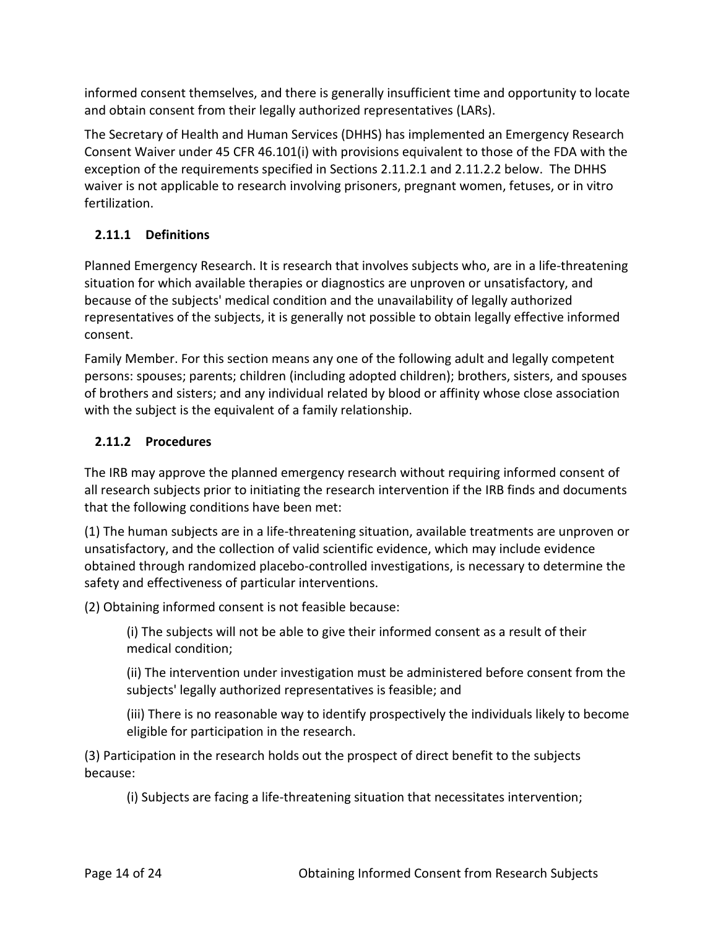informed consent themselves, and there is generally insufficient time and opportunity to locate and obtain consent from their legally authorized representatives (LARs).

The Secretary of Health and Human Services (DHHS) has implemented an Emergency Research Consent Waiver under 45 CFR 46.101(i) with provisions equivalent to those of the FDA with the exception of the requirements specified in Sections 2.11.2.1 and 2.11.2.2 below. The DHHS waiver is not applicable to research involving prisoners, pregnant women, fetuses, or in vitro fertilization.

# **2.11.1 Definitions**

Planned Emergency Research. It is research that involves subjects who, are in a life-threatening situation for which available therapies or diagnostics are unproven or unsatisfactory, and because of the subjects' medical condition and the unavailability of legally authorized representatives of the subjects, it is generally not possible to obtain legally effective informed consent.

Family Member. For this section means any one of the following adult and legally competent persons: spouses; parents; children (including adopted children); brothers, sisters, and spouses of brothers and sisters; and any individual related by blood or affinity whose close association with the subject is the equivalent of a family relationship.

# **2.11.2 Procedures**

The IRB may approve the planned emergency research without requiring informed consent of all research subjects prior to initiating the research intervention if the IRB finds and documents that the following conditions have been met:

(1) The human subjects are in a life-threatening situation, available treatments are unproven or unsatisfactory, and the collection of valid scientific evidence, which may include evidence obtained through randomized placebo-controlled investigations, is necessary to determine the safety and effectiveness of particular interventions.

(2) Obtaining informed consent is not feasible because:

(i) The subjects will not be able to give their informed consent as a result of their medical condition;

(ii) The intervention under investigation must be administered before consent from the subjects' legally authorized representatives is feasible; and

(iii) There is no reasonable way to identify prospectively the individuals likely to become eligible for participation in the research.

(3) Participation in the research holds out the prospect of direct benefit to the subjects because:

(i) Subjects are facing a life-threatening situation that necessitates intervention;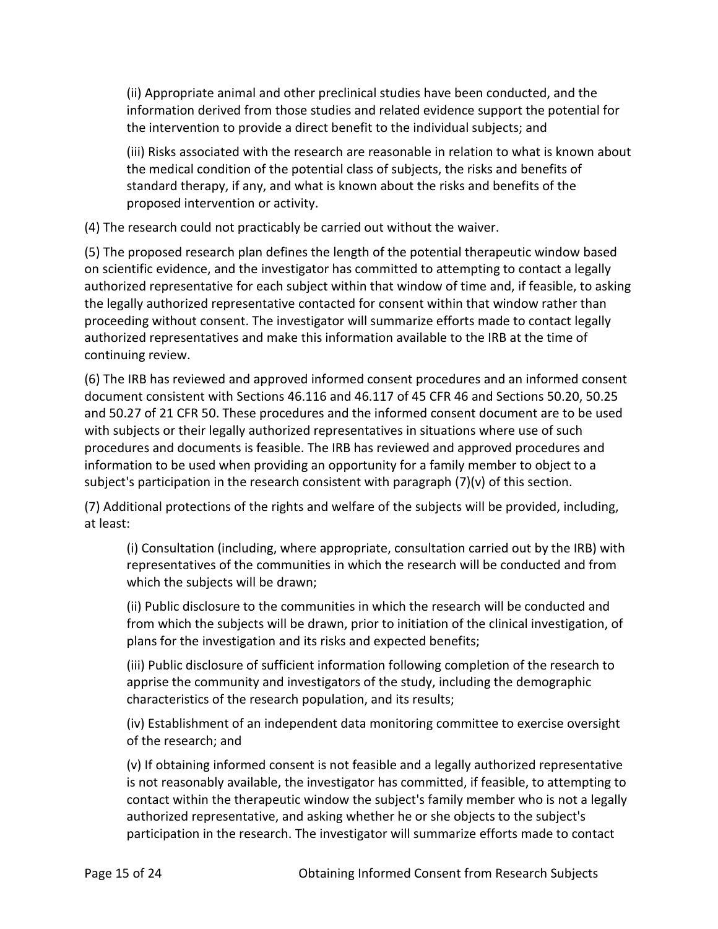(ii) Appropriate animal and other preclinical studies have been conducted, and the information derived from those studies and related evidence support the potential for the intervention to provide a direct benefit to the individual subjects; and

(iii) Risks associated with the research are reasonable in relation to what is known about the medical condition of the potential class of subjects, the risks and benefits of standard therapy, if any, and what is known about the risks and benefits of the proposed intervention or activity.

(4) The research could not practicably be carried out without the waiver.

(5) The proposed research plan defines the length of the potential therapeutic window based on scientific evidence, and the investigator has committed to attempting to contact a legally authorized representative for each subject within that window of time and, if feasible, to asking the legally authorized representative contacted for consent within that window rather than proceeding without consent. The investigator will summarize efforts made to contact legally authorized representatives and make this information available to the IRB at the time of continuing review.

(6) The IRB has reviewed and approved informed consent procedures and an informed consent document consistent with Sections 46.116 and 46.117 of 45 CFR 46 and Sections 50.20, 50.25 and 50.27 of 21 CFR 50. These procedures and the informed consent document are to be used with subjects or their legally authorized representatives in situations where use of such procedures and documents is feasible. The IRB has reviewed and approved procedures and information to be used when providing an opportunity for a family member to object to a subject's participation in the research consistent with paragraph  $(7)(v)$  of this section.

(7) Additional protections of the rights and welfare of the subjects will be provided, including, at least:

(i) Consultation (including, where appropriate, consultation carried out by the IRB) with representatives of the communities in which the research will be conducted and from which the subjects will be drawn;

(ii) Public disclosure to the communities in which the research will be conducted and from which the subjects will be drawn, prior to initiation of the clinical investigation, of plans for the investigation and its risks and expected benefits;

(iii) Public disclosure of sufficient information following completion of the research to apprise the community and investigators of the study, including the demographic characteristics of the research population, and its results;

(iv) Establishment of an independent data monitoring committee to exercise oversight of the research; and

(v) If obtaining informed consent is not feasible and a legally authorized representative is not reasonably available, the investigator has committed, if feasible, to attempting to contact within the therapeutic window the subject's family member who is not a legally authorized representative, and asking whether he or she objects to the subject's participation in the research. The investigator will summarize efforts made to contact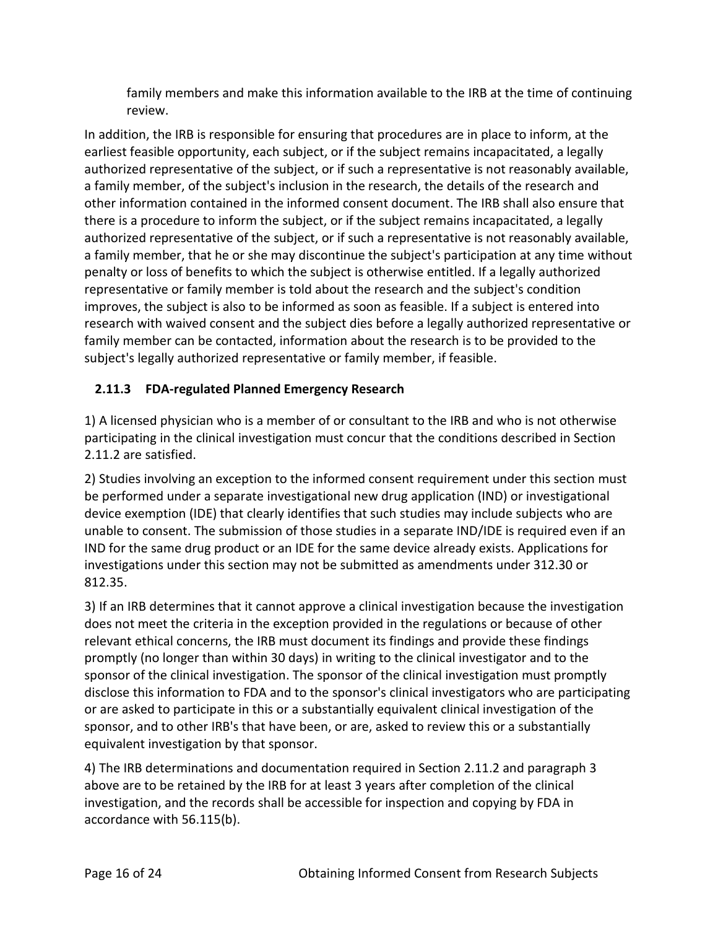family members and make this information available to the IRB at the time of continuing review.

In addition, the IRB is responsible for ensuring that procedures are in place to inform, at the earliest feasible opportunity, each subject, or if the subject remains incapacitated, a legally authorized representative of the subject, or if such a representative is not reasonably available, a family member, of the subject's inclusion in the research, the details of the research and other information contained in the informed consent document. The IRB shall also ensure that there is a procedure to inform the subject, or if the subject remains incapacitated, a legally authorized representative of the subject, or if such a representative is not reasonably available, a family member, that he or she may discontinue the subject's participation at any time without penalty or loss of benefits to which the subject is otherwise entitled. If a legally authorized representative or family member is told about the research and the subject's condition improves, the subject is also to be informed as soon as feasible. If a subject is entered into research with waived consent and the subject dies before a legally authorized representative or family member can be contacted, information about the research is to be provided to the subject's legally authorized representative or family member, if feasible.

## **2.11.3 FDA-regulated Planned Emergency Research**

1) A licensed physician who is a member of or consultant to the IRB and who is not otherwise participating in the clinical investigation must concur that the conditions described in Section 2.11.2 are satisfied.

2) Studies involving an exception to the informed consent requirement under this section must be performed under a separate investigational new drug application (IND) or investigational device exemption (IDE) that clearly identifies that such studies may include subjects who are unable to consent. The submission of those studies in a separate IND/IDE is required even if an IND for the same drug product or an IDE for the same device already exists. Applications for investigations under this section may not be submitted as amendments under 312.30 or 812.35.

3) If an IRB determines that it cannot approve a clinical investigation because the investigation does not meet the criteria in the exception provided in the regulations or because of other relevant ethical concerns, the IRB must document its findings and provide these findings promptly (no longer than within 30 days) in writing to the clinical investigator and to the sponsor of the clinical investigation. The sponsor of the clinical investigation must promptly disclose this information to FDA and to the sponsor's clinical investigators who are participating or are asked to participate in this or a substantially equivalent clinical investigation of the sponsor, and to other IRB's that have been, or are, asked to review this or a substantially equivalent investigation by that sponsor.

4) The IRB determinations and documentation required in Section 2.11.2 and paragraph 3 above are to be retained by the IRB for at least 3 years after completion of the clinical investigation, and the records shall be accessible for inspection and copying by FDA in accordance with 56.115(b).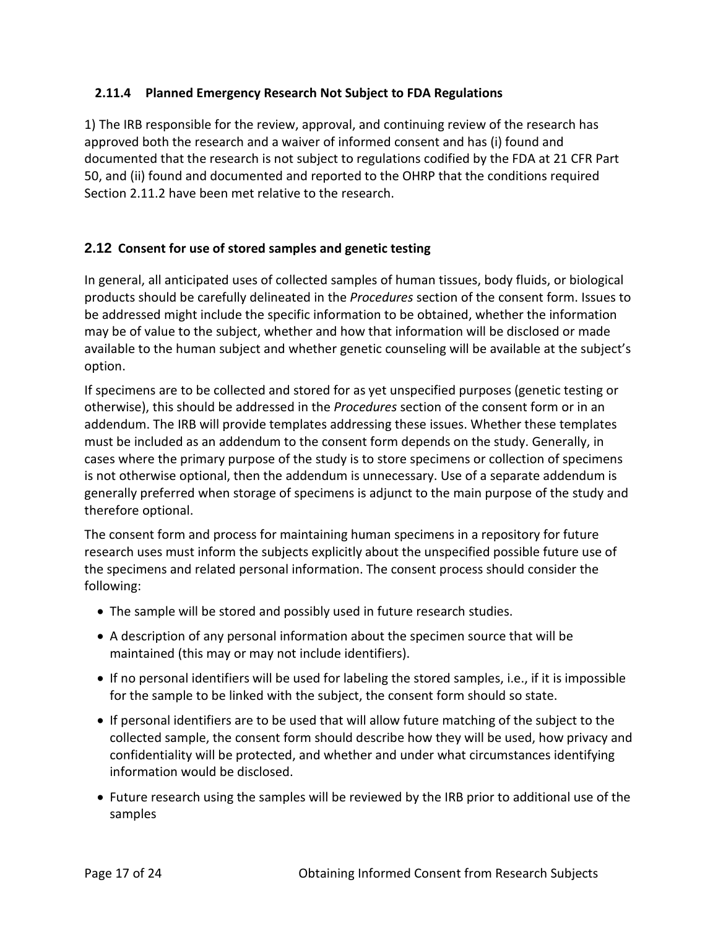### **2.11.4 Planned Emergency Research Not Subject to FDA Regulations**

1) The IRB responsible for the review, approval, and continuing review of the research has approved both the research and a waiver of informed consent and has (i) found and documented that the research is not subject to regulations codified by the FDA at 21 CFR Part 50, and (ii) found and documented and reported to the OHRP that the conditions required Section 2.11.2 have been met relative to the research.

### **2.12 Consent for use of stored samples and genetic testing**

In general, all anticipated uses of collected samples of human tissues, body fluids, or biological products should be carefully delineated in the *Procedures* section of the consent form. Issues to be addressed might include the specific information to be obtained, whether the information may be of value to the subject, whether and how that information will be disclosed or made available to the human subject and whether genetic counseling will be available at the subject's option.

If specimens are to be collected and stored for as yet unspecified purposes (genetic testing or otherwise), this should be addressed in the *Procedures* section of the consent form or in an addendum. The IRB will provide templates addressing these issues. Whether these templates must be included as an addendum to the consent form depends on the study. Generally, in cases where the primary purpose of the study is to store specimens or collection of specimens is not otherwise optional, then the addendum is unnecessary. Use of a separate addendum is generally preferred when storage of specimens is adjunct to the main purpose of the study and therefore optional.

The consent form and process for maintaining human specimens in a repository for future research uses must inform the subjects explicitly about the unspecified possible future use of the specimens and related personal information. The consent process should consider the following:

- The sample will be stored and possibly used in future research studies.
- A description of any personal information about the specimen source that will be maintained (this may or may not include identifiers).
- If no personal identifiers will be used for labeling the stored samples, i.e., if it is impossible for the sample to be linked with the subject, the consent form should so state.
- If personal identifiers are to be used that will allow future matching of the subject to the collected sample, the consent form should describe how they will be used, how privacy and confidentiality will be protected, and whether and under what circumstances identifying information would be disclosed.
- Future research using the samples will be reviewed by the IRB prior to additional use of the samples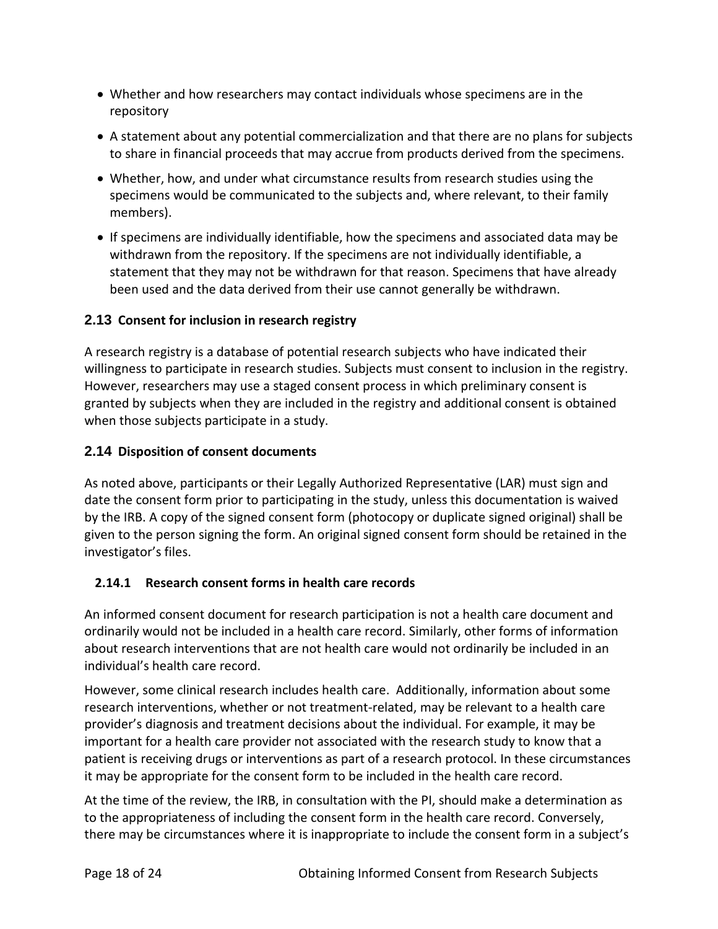- Whether and how researchers may contact individuals whose specimens are in the repository
- A statement about any potential commercialization and that there are no plans for subjects to share in financial proceeds that may accrue from products derived from the specimens.
- Whether, how, and under what circumstance results from research studies using the specimens would be communicated to the subjects and, where relevant, to their family members).
- If specimens are individually identifiable, how the specimens and associated data may be withdrawn from the repository. If the specimens are not individually identifiable, a statement that they may not be withdrawn for that reason. Specimens that have already been used and the data derived from their use cannot generally be withdrawn.

## **2.13 Consent for inclusion in research registry**

A research registry is a database of potential research subjects who have indicated their willingness to participate in research studies. Subjects must consent to inclusion in the registry. However, researchers may use a staged consent process in which preliminary consent is granted by subjects when they are included in the registry and additional consent is obtained when those subjects participate in a study.

## **2.14 Disposition of consent documents**

As noted above, participants or their Legally Authorized Representative (LAR) must sign and date the consent form prior to participating in the study, unless this documentation is waived by the IRB. A copy of the signed consent form (photocopy or duplicate signed original) shall be given to the person signing the form. An original signed consent form should be retained in the investigator's files.

## **2.14.1 Research consent forms in health care records**

An informed consent document for research participation is not a health care document and ordinarily would not be included in a health care record. Similarly, other forms of information about research interventions that are not health care would not ordinarily be included in an individual's health care record.

However, some clinical research includes health care. Additionally, information about some research interventions, whether or not treatment-related, may be relevant to a health care provider's diagnosis and treatment decisions about the individual. For example, it may be important for a health care provider not associated with the research study to know that a patient is receiving drugs or interventions as part of a research protocol. In these circumstances it may be appropriate for the consent form to be included in the health care record.

At the time of the review, the IRB, in consultation with the PI, should make a determination as to the appropriateness of including the consent form in the health care record. Conversely, there may be circumstances where it is inappropriate to include the consent form in a subject's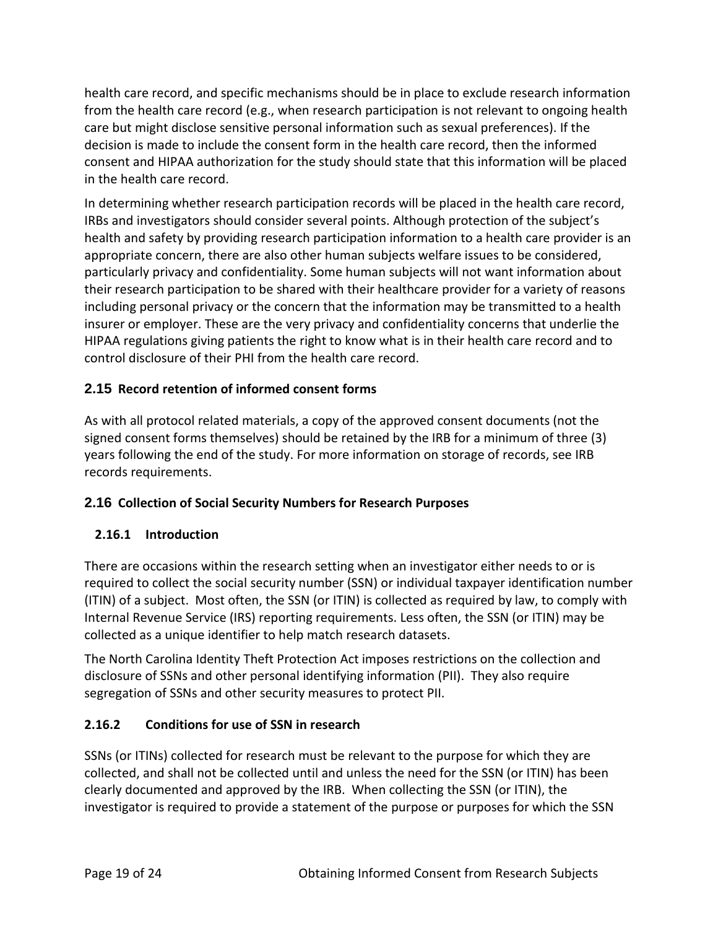health care record, and specific mechanisms should be in place to exclude research information from the health care record (e.g., when research participation is not relevant to ongoing health care but might disclose sensitive personal information such as sexual preferences). If the decision is made to include the consent form in the health care record, then the informed consent and HIPAA authorization for the study should state that this information will be placed in the health care record.

In determining whether research participation records will be placed in the health care record, IRBs and investigators should consider several points. Although protection of the subject's health and safety by providing research participation information to a health care provider is an appropriate concern, there are also other human subjects welfare issues to be considered, particularly privacy and confidentiality. Some human subjects will not want information about their research participation to be shared with their healthcare provider for a variety of reasons including personal privacy or the concern that the information may be transmitted to a health insurer or employer. These are the very privacy and confidentiality concerns that underlie the HIPAA regulations giving patients the right to know what is in their health care record and to control disclosure of their PHI from the health care record.

## **2.15 Record retention of informed consent forms**

As with all protocol related materials, a copy of the approved consent documents (not the signed consent forms themselves) should be retained by the IRB for a minimum of three (3) years following the end of the study. For more information on storage of records, see IRB records requirements.

## **2.16 Collection of Social Security Numbers for Research Purposes**

## **2.16.1 Introduction**

There are occasions within the research setting when an investigator either needs to or is required to collect the social security number (SSN) or individual taxpayer identification number (ITIN) of a subject. Most often, the SSN (or ITIN) is collected as required by law, to comply with Internal Revenue Service (IRS) reporting requirements. Less often, the SSN (or ITIN) may be collected as a unique identifier to help match research datasets.

The North Carolina Identity Theft Protection Act imposes restrictions on the collection and disclosure of SSNs and other personal identifying information (PII). They also require segregation of SSNs and other security measures to protect PII.

## **2.16.2 Conditions for use of SSN in research**

SSNs (or ITINs) collected for research must be relevant to the purpose for which they are collected, and shall not be collected until and unless the need for the SSN (or ITIN) has been clearly documented and approved by the IRB. When collecting the SSN (or ITIN), the investigator is required to provide a statement of the purpose or purposes for which the SSN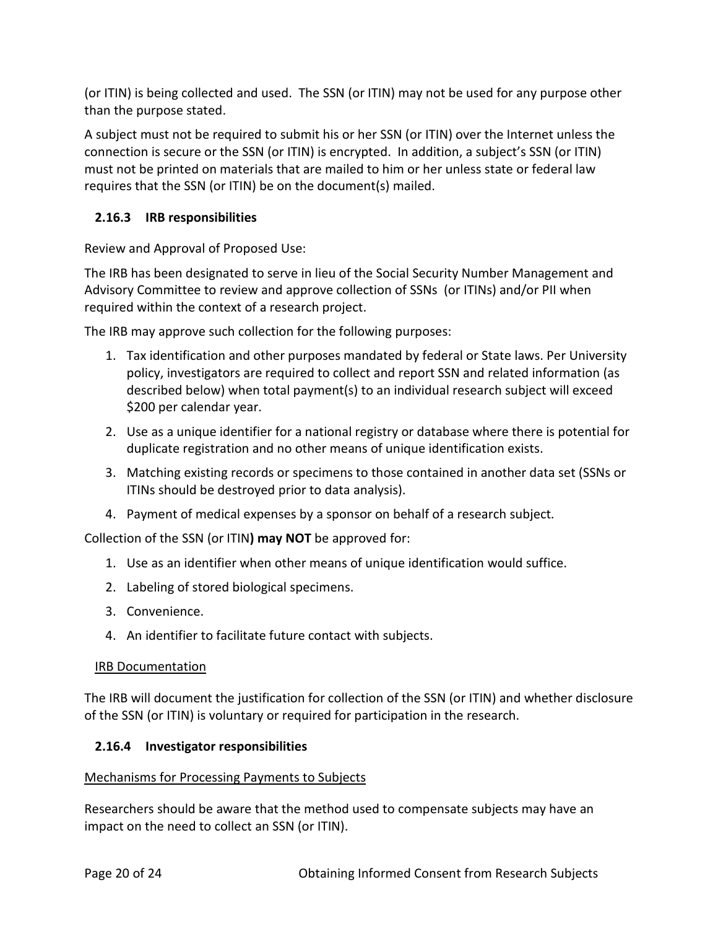(or ITIN) is being collected and used. The SSN (or ITIN) may not be used for any purpose other than the purpose stated.

A subject must not be required to submit his or her SSN (or ITIN) over the Internet unless the connection is secure or the SSN (or ITIN) is encrypted. In addition, a subject's SSN (or ITIN) must not be printed on materials that are mailed to him or her unless state or federal law requires that the SSN (or ITIN) be on the document(s) mailed.

### **2.16.3 IRB responsibilities**

Review and Approval of Proposed Use:

The IRB has been designated to serve in lieu of the Social Security Number Management and Advisory Committee to review and approve collection of SSNs (or ITINs) and/or PII when required within the context of a research project.

The IRB may approve such collection for the following purposes:

- 1. Tax identification and other purposes mandated by federal or State laws. Per University policy, investigators are required to collect and report SSN and related information (as described below) when total payment(s) to an individual research subject will exceed \$200 per calendar year.
- 2. Use as a unique identifier for a national registry or database where there is potential for duplicate registration and no other means of unique identification exists.
- 3. Matching existing records or specimens to those contained in another data set (SSNs or ITINs should be destroyed prior to data analysis).
- 4. Payment of medical expenses by a sponsor on behalf of a research subject.

Collection of the SSN (or ITIN**) may NOT** be approved for:

- 1. Use as an identifier when other means of unique identification would suffice.
- 2. Labeling of stored biological specimens.
- 3. Convenience.
- 4. An identifier to facilitate future contact with subjects.

#### IRB Documentation

The IRB will document the justification for collection of the SSN (or ITIN) and whether disclosure of the SSN (or ITIN) is voluntary or required for participation in the research.

#### **2.16.4 Investigator responsibilities**

#### Mechanisms for Processing Payments to Subjects

Researchers should be aware that the method used to compensate subjects may have an impact on the need to collect an SSN (or ITIN).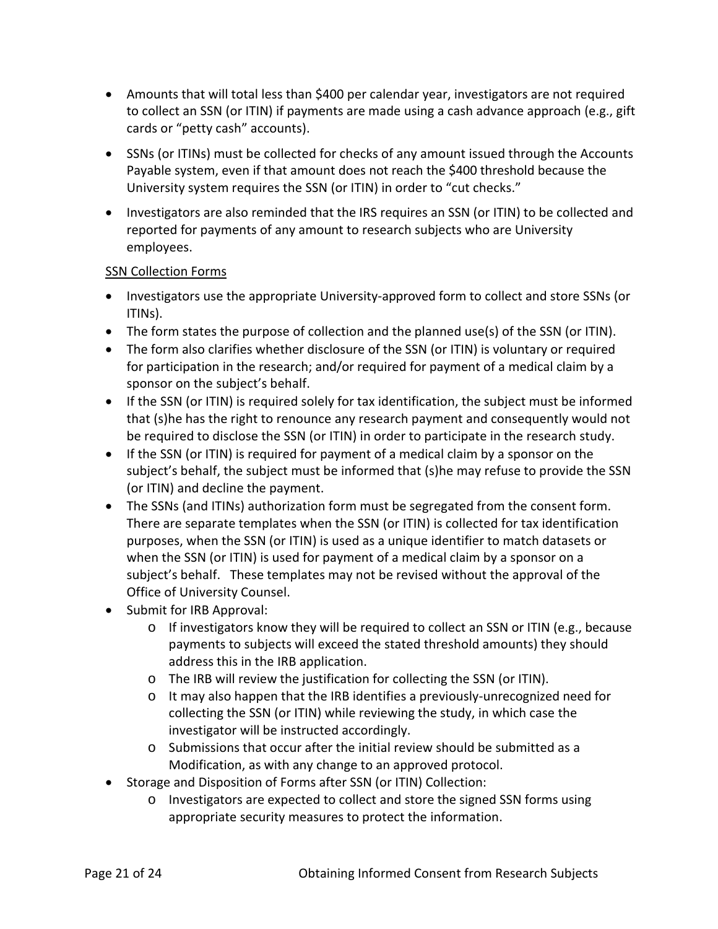- Amounts that will total less than \$400 per calendar year, investigators are not required to collect an SSN (or ITIN) if payments are made using a cash advance approach (e.g., gift cards or "petty cash" accounts).
- SSNs (or ITINs) must be collected for checks of any amount issued through the Accounts Payable system, even if that amount does not reach the \$400 threshold because the University system requires the SSN (or ITIN) in order to "cut checks."
- Investigators are also reminded that the IRS requires an SSN (or ITIN) to be collected and reported for payments of any amount to research subjects who are University employees.

#### SSN Collection Forms

- Investigators use the appropriate University-approved form to collect and store SSNs (or ITINs).
- The form states the purpose of collection and the planned use(s) of the SSN (or ITIN).
- The form also clarifies whether disclosure of the SSN (or ITIN) is voluntary or required for participation in the research; and/or required for payment of a medical claim by a sponsor on the subject's behalf.
- If the SSN (or ITIN) is required solely for tax identification, the subject must be informed that (s)he has the right to renounce any research payment and consequently would not be required to disclose the SSN (or ITIN) in order to participate in the research study.
- If the SSN (or ITIN) is required for payment of a medical claim by a sponsor on the subject's behalf, the subject must be informed that (s)he may refuse to provide the SSN (or ITIN) and decline the payment.
- The SSNs (and ITINs) authorization form must be segregated from the consent form. There are separate templates when the SSN (or ITIN) is collected for tax identification purposes, when the SSN (or ITIN) is used as a unique identifier to match datasets or when the SSN (or ITIN) is used for payment of a medical claim by a sponsor on a subject's behalf. These templates may not be revised without the approval of the Office of University Counsel.
- Submit for IRB Approval:
	- $\circ$  If investigators know they will be required to collect an SSN or ITIN (e.g., because payments to subjects will exceed the stated threshold amounts) they should address this in the IRB application.
	- o The IRB will review the justification for collecting the SSN (or ITIN).
	- o It may also happen that the IRB identifies a previously-unrecognized need for collecting the SSN (or ITIN) while reviewing the study, in which case the investigator will be instructed accordingly.
	- o Submissions that occur after the initial review should be submitted as a Modification, as with any change to an approved protocol.
- Storage and Disposition of Forms after SSN (or ITIN) Collection:
	- o Investigators are expected to collect and store the signed SSN forms using appropriate security measures to protect the information.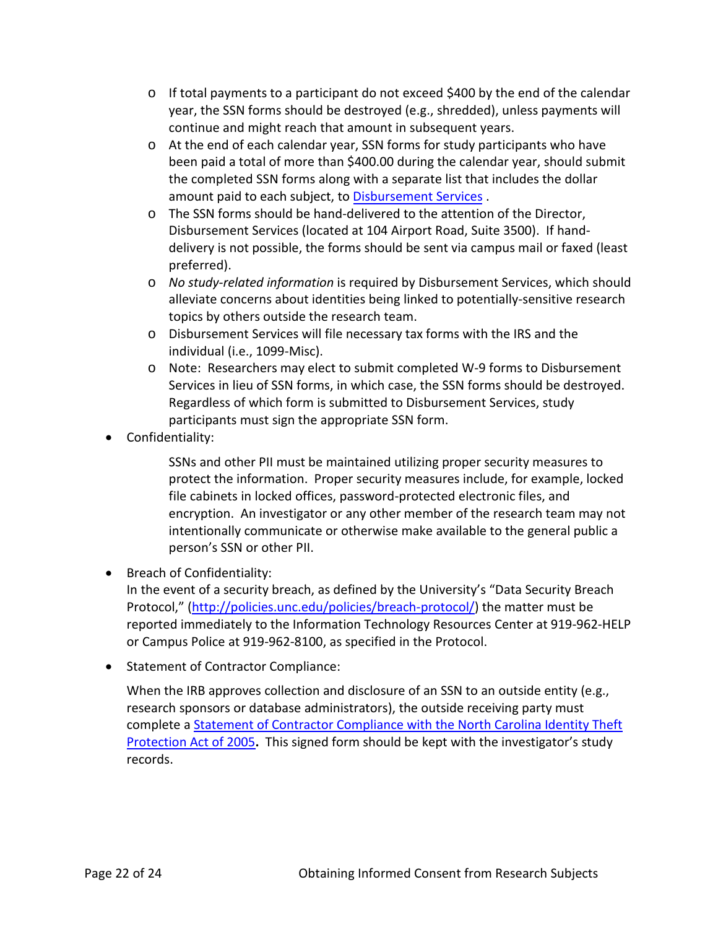- $\circ$  If total payments to a participant do not exceed \$400 by the end of the calendar year, the SSN forms should be destroyed (e.g., shredded), unless payments will continue and might reach that amount in subsequent years.
- o At the end of each calendar year, SSN forms for study participants who have been paid a total of more than \$400.00 during the calendar year, should submit the completed SSN forms along with a separate list that includes the dollar amount paid to each subject, to [Disbursement Services](http://www.unc.edu/mds) .
- o The SSN forms should be hand-delivered to the attention of the Director, Disbursement Services (located at 104 Airport Road, Suite 3500). If handdelivery is not possible, the forms should be sent via campus mail or faxed (least preferred).
- o *No study-related information* is required by Disbursement Services, which should alleviate concerns about identities being linked to potentially-sensitive research topics by others outside the research team.
- o Disbursement Services will file necessary tax forms with the IRS and the individual (i.e., 1099-Misc).
- o Note: Researchers may elect to submit completed W-9 forms to Disbursement Services in lieu of SSN forms, in which case, the SSN forms should be destroyed. Regardless of which form is submitted to Disbursement Services, study participants must sign the appropriate SSN form.
- Confidentiality:

SSNs and other PII must be maintained utilizing proper security measures to protect the information. Proper security measures include, for example, locked file cabinets in locked offices, password-protected electronic files, and encryption. An investigator or any other member of the research team may not intentionally communicate or otherwise make available to the general public a person's SSN or other PII.

• Breach of Confidentiality:

In the event of a security breach, as defined by the University's "Data Security Breach Protocol," [\(http://policies.unc.edu/policies/breach-protocol/\)](http://policies.unc.edu/policies/breach-protocol/) the matter must be reported immediately to the Information Technology Resources Center at 919-962-HELP or Campus Police at 919-962-8100, as specified in the Protocol.

• Statement of Contractor Compliance:

When the IRB approves collection and disclosure of an SSN to an outside entity (e.g., research sponsors or database administrators), the outside receiving party must complete a [Statement of Contractor Compliance with](http://www.unc.edu/depts/legal/ssn/Statement%20of%20Contractor%20Compliance.DOC) the North Carolina Identity Theft [Protection Act of 2005](http://www.unc.edu/depts/legal/ssn/Statement%20of%20Contractor%20Compliance.DOC)**.** This signed form should be kept with the investigator's study records.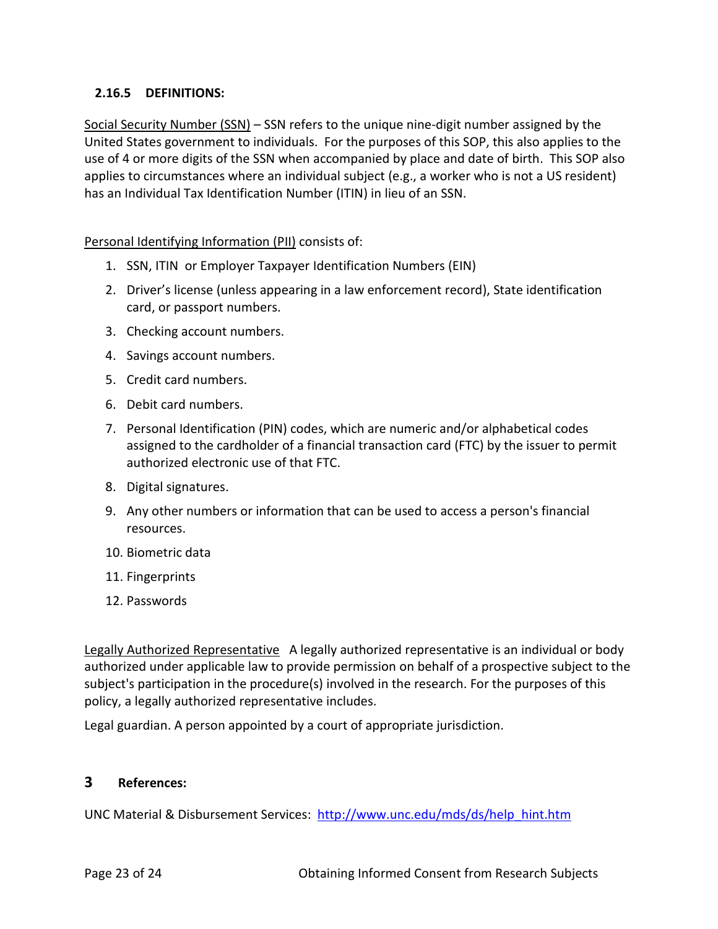#### **2.16.5 DEFINITIONS:**

Social Security Number (SSN) – SSN refers to the unique nine-digit number assigned by the United States government to individuals. For the purposes of this SOP, this also applies to the use of 4 or more digits of the SSN when accompanied by place and date of birth. This SOP also applies to circumstances where an individual subject (e.g., a worker who is not a US resident) has an Individual Tax Identification Number (ITIN) in lieu of an SSN.

Personal Identifying Information (PII) consists of:

- 1. SSN, ITIN or Employer Taxpayer Identification Numbers (EIN)
- 2. Driver's license (unless appearing in a law enforcement record), State identification card, or passport numbers.
- 3. Checking account numbers.
- 4. Savings account numbers.
- 5. Credit card numbers.
- 6. Debit card numbers.
- 7. Personal Identification (PIN) codes, which are numeric and/or alphabetical codes assigned to the cardholder of a financial transaction card (FTC) by the issuer to permit authorized electronic use of that FTC.
- 8. Digital signatures.
- 9. Any other numbers or information that can be used to access a person's financial resources.
- 10. Biometric data
- 11. Fingerprints
- 12. Passwords

Legally Authorized Representative A legally authorized representative is an individual or body authorized under applicable law to provide permission on behalf of a prospective subject to the subject's participation in the procedure(s) involved in the research. For the purposes of this policy, a legally authorized representative includes.

Legal guardian. A person appointed by a court of appropriate jurisdiction.

#### **3 References:**

UNC Material & Disbursement Services: [http://www.unc.edu/mds/ds/help\\_hint.htm](http://www.unc.edu/mds/ds/help_hint.htm)